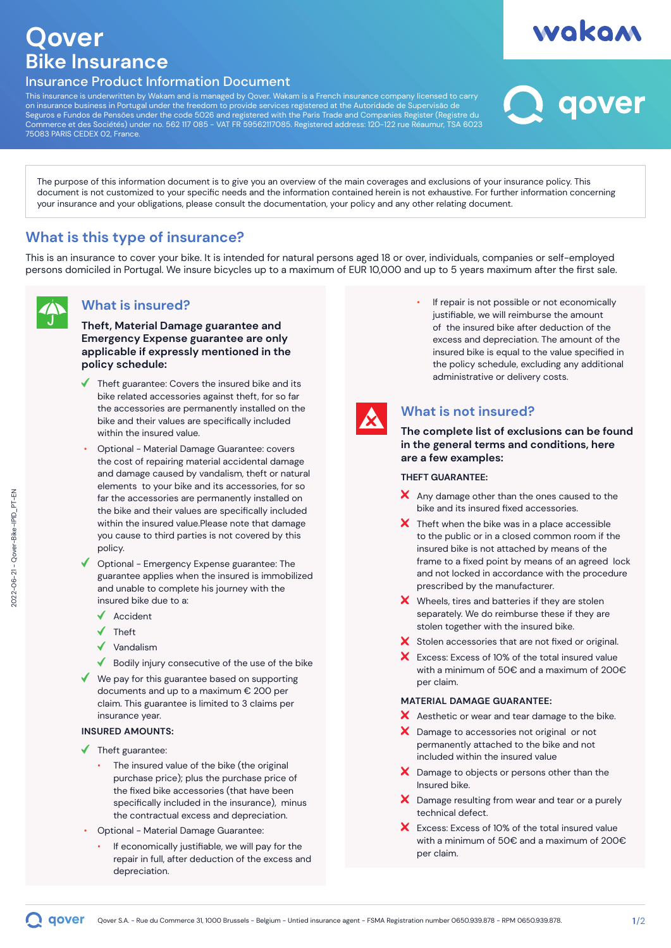# **Qover Bike Insurance**

# Insurance Product Information Document

This insurance is underwritten by Wakam and is managed by Qover. Wakam is a French insurance company licensed to carry on insurance business in Portugal under the freedom to provide services registered at the Autoridade de Supervisão de Seguros e Fundos de Pensões under the code 5026 and registered with the Paris Trade and Companies Register (Registre du Commerce et des Sociétés) under no. 562 117 085 - VAT FR 59562117085. Registered address: 120-122 rue Réaumur, TSA 6023 75083 PARIS CEDEX 02, France.

qover

wakam

The purpose of this information document is to give you an overview of the main coverages and exclusions of your insurance policy. This document is not customized to your specific needs and the information contained herein is not exhaustive. For further information concerning your insurance and your obligations, please consult the documentation, your policy and any other relating document.

# **What is this type of insurance?**

This is an insurance to cover your bike. It is intended for natural persons aged 18 or over, individuals, companies or self-employed persons domiciled in Portugal. We insure bicycles up to a maximum of EUR 10,000 and up to 5 years maximum after the first sale.

# **What is insured?**

**Theft, Material Damage guarantee and Emergency Expense guarantee are only applicable if expressly mentioned in the policy schedule:**

- Theft guarantee: Covers the insured bike and its bike related accessories against theft, for so far the accessories are permanently installed on the bike and their values are specifically included within the insured value.
- Optional Material Damage Guarantee: covers the cost of repairing material accidental damage and damage caused by vandalism, theft or natural elements to your bike and its accessories, for so far the accessories are permanently installed on the bike and their values are specifically included within the insured value.Please note that damage you cause to third parties is not covered by this policy.
- Optional Emergency Expense guarantee: The guarantee applies when the insured is immobilized and unable to complete his journey with the insured bike due to a:
	- $\triangleleft$  Accident
	- $\sqrt{\phantom{a}}$  Theft
	- $\checkmark$ Vandalism
	- $\blacklozenge$  Bodily injury consecutive of the use of the bike
- $\blacklozenge$  We pay for this guarantee based on supporting documents and up to a maximum € 200 per claim. This guarantee is limited to 3 claims per insurance year.

#### **INSURED AMOUNTS:**

- $\blacklozenge$  Theft guarantee:
	- The insured value of the bike (the original purchase price); plus the purchase price of the fixed bike accessories (that have been specifically included in the insurance), minus the contractual excess and depreciation.
- Optional Material Damage Guarantee:
	- If economically justifiable, we will pay for the repair in full, after deduction of the excess and depreciation.

If repair is not possible or not economically justifiable, we will reimburse the amount of the insured bike after deduction of the excess and depreciation. The amount of the insured bike is equal to the value specified in the policy schedule, excluding any additional administrative or delivery costs.



# **What is not insured?**

**The complete list of exclusions can be found in the general terms and conditions, here are a few examples:**

#### **THEFT GUARANTEE:**

- $\boldsymbol{\times}$  Any damage other than the ones caused to the bike and its insured fixed accessories.
- $\boldsymbol{\times}$  Theft when the bike was in a place accessible to the public or in a closed common room if the insured bike is not attached by means of the frame to a fixed point by means of an agreed lock and not locked in accordance with the procedure prescribed by the manufacturer.
- $\boldsymbol{\times}$  Wheels, tires and batteries if they are stolen separately. We do reimburse these if they are stolen together with the insured bike.
- X Stolen accessories that are not fixed or original.
- $\mathbf{x}$ Excess: Excess of 10% of the total insured value with a minimum of 50€ and a maximum of 200€ per claim.

#### **MATERIAL DAMAGE GUARANTEE:**

- X Aesthetic or wear and tear damage to the bike.
- X Damage to accessories not original or not permanently attached to the bike and not included within the insured value
- $\boldsymbol{\times}$  Damage to objects or persons other than the Insured bike.
- X Damage resulting from wear and tear or a purely technical defect.
- X Excess: Excess of 10% of the total insured value with a minimum of 50€ and a maximum of 200€ per claim.